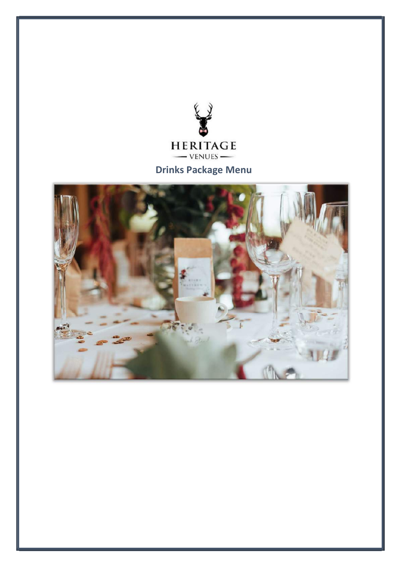

Drinks Package Menu

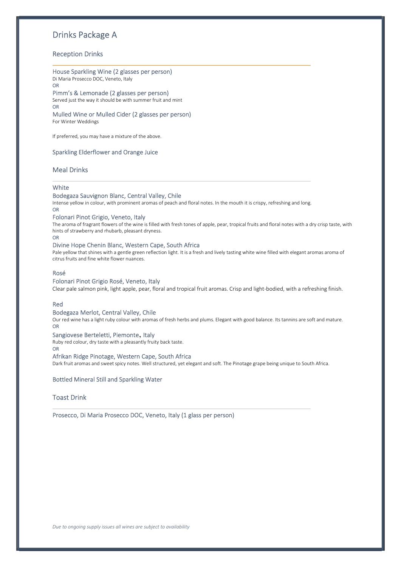# Drinks Package A

# Reception Drinks

## House Sparkling Wine (2 glasses per person)

Di Maria Prosecco DOC, Veneto, Italy OR

# Pimm's & Lemonade (2 glasses per person)

Served just the way it should be with summer fruit and mint OR

Mulled Wine or Mulled Cider (2 glasses per person) For Winter Weddings

If preferred, you may have a mixture of the above.

## Sparkling Elderflower and Orange Juice

## Meal Drinks

### **White**

# Bodegaza Sauvignon Blanc, Central Valley, Chile

Intense yellow in colour, with prominent aromas of peach and floral notes. In the mouth it is crispy, refreshing and long. OR

# Folonari Pinot Grigio, Veneto, Italy

The aroma of fragrant flowers of the wine is filled with fresh tones of apple, pear, tropical fruits and floral notes with a dry crisp taste, with hints of strawberry and rhubarb, pleasant dryness.

### OR

#### Divine Hope Chenin Blanc, Western Cape, South Africa

Pale yellow that shines with a gentle green reflection light. It is a fresh and lively tasting white wine filled with elegant aromas aroma of citrus fruits and fine white flower nuances.

### Rosé

## Folonari Pinot Grigio Rosé, Veneto, Italy

Clear pale salmon pink, light apple, pear, floral and tropical fruit aromas. Crisp and light-bodied, with a refreshing finish.

#### Red

## Bodegaza Merlot, Central Valley, Chile

Our red wine has a light ruby colour with aromas of fresh herbs and plums. Elegant with good balance. Its tannins are soft and mature. OR

## Sangiovese Berteletti, Piemonte, Italy

Ruby red colour, dry taste with a pleasantly fruity back taste.

## OR

## Afrikan Ridge Pinotage, Western Cape, South Africa

Dark fruit aromas and sweet spicy notes. Well structured, yet elegant and soft. The Pinotage grape being unique to South Africa.

## Bottled Mineral Still and Sparkling Water

## Toast Drink

Prosecco, Di Maria Prosecco DOC, Veneto, Italy (1 glass per person)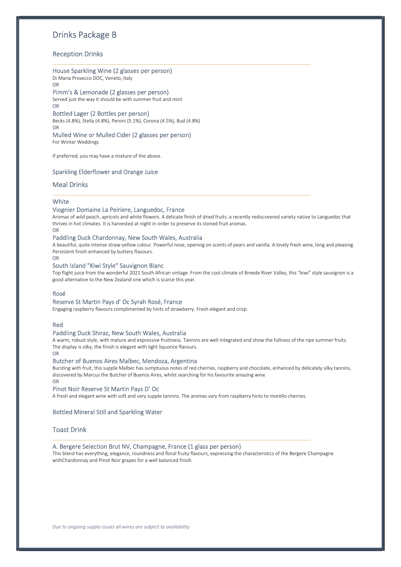# Drinks Package B

# Reception Drinks

# House Sparkling Wine (2 glasses per person)

Di Maria Prosecco DOC, Veneto, Italy OR

Pimm's & Lemonade (2 glasses per person) Served just the way it should be with summer fruit and mint OR

Bottled Lager (2 Bottles per person) Becks (4.8%), Stella (4.8%), Peroni (5.1%), Corona (4.5%), Bud (4.8%) OR

Mulled Wine or Mulled Cider (2 glasses per person) For Winter Weddings

If preferred, you may have a mixture of the above.

### Sparkling Elderflower and Orange Juice

## Meal Drinks

### **White**

## Viognier Domaine La Peiriere, Languedoc, France

Aromas of wild peach, apricots and white flowers. A delicate finish of dried fruits. a recently rediscovered variety native to Languedoc that thrives in hot climates. It is harvested at night in order to preserve its stoned fruit aromas.

OR

#### Paddling Duck Chardonnay, New South Wales, Australia

A beautiful, quite intense straw-yellow colour. Powerful nose, opening on scents of pears and vanilla. A lovely fresh wine, long and pleasing. Persistent finish enhanced by buttery flavours.

#### OR

#### South Island "Kiwi Style" Sauvignon Blanc

Top flight juice from the wonderful 2021 South African vintage. From the cool climate of Breede River Valley, this "kiwi" style sauvignon is a good alternative to the New Zealand one which is scarce this year.

## Rosé

### Reserve St Martin Pays d' Oc Syrah Rosé, France

Engaging raspberry flavours complimented by hints of strawberry. Fresh elegant and crisp.

#### Red

#### Paddling Duck Shiraz, New South Wales, Australia

A warm, robust style, with mature and expressive fruitiness. Tannins are well integrated and show the fullness of the ripe summer fruits. The display is silky, the finish is elegant with light liquorice flavours.

OR

#### Butcher of Buenos Aires Malbec, Mendoza, Argentina

Bursting with fruit, this supple Malbec has sumptuous notes of red cherries, raspberry and chocolate, enhanced by delicately silky tannins, discovered by Marcus the Butcher of Buenos Aires, whilst searching for his favourite amazing wine OR

## Pinot Noir Reserve St Martin Pays D' Oc

A fresh and elegant wine with soft and very supple tannins. The aromas vary from raspberry hints to morello cherries.

## Bottled Mineral Still and Sparkling Water

#### Toast Drink

## A. Bergere Selection Brut NV, Champagne, France (1 glass per person)

This blend has everything, elegance, roundness and floral fruity flavours, expressing the characteristics of the Bergere Champagne withChardonnay and Pinot Noir grapes for a well balanced finish.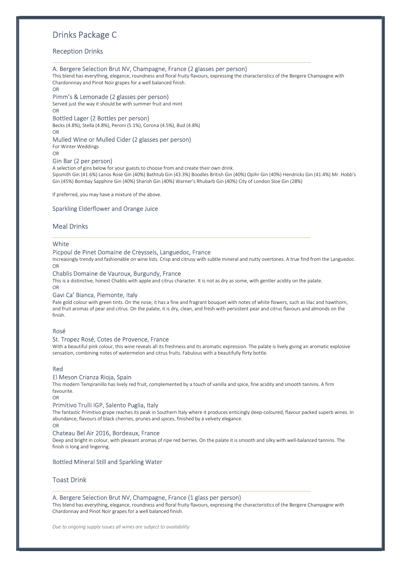# Drinks Package C

# Reception Drinks

#### A. Bergere Selection Brut NV, Champagne, France (2 glasses per person)

This blend has everything, elegance, roundness and floral fruity flavours, expressing the characteristics of the Bergere Champagne with Chardonnnay and Pinot Noir grapes for a well balanced finish.

OR

#### Pimm's & Lemonade (2 glasses per person)

Served just the way it should be with summer fruit and mint

OR

#### Bottled Lager (2 Bottles per person)

Becks (4.8%), Stella (4.8%), Peroni (5.1%), Corona (4.5%), Bud (4.8%) OR

#### Mulled Wine or Mulled Cider (2 glasses per person)

For Winter Weddings

OR

## Gin Bar (2 per person)

A selection of gins below for your guests to choose from and create their own drink.

Sipsmith Gin (41.6%) Larios Rose Gin (40%) Bathtub Gin (43.3%) Boodles British Gin (40%) Opihr Gin (40%) Hendricks Gin (41.4%) Mr. Hobb's Gin (45%) Bombay Sapphire Gin (40%) Sharish Gin (40%) Warner's Rhubarb Gin (40%) City of London Sloe Gin (28%)

If preferred, you may have a mixture of the above.

#### Sparkling Elderflower and Orange Juice

## Meal Drinks

#### **White**

#### Picpoul de Pinet Domaine de Creyssels, Languedoc, France

Increasingly trendy and fashionable on wine lists. Crisp and citrusy with subtle mineral and nutty overtones. A true find from the Languedoc. OR

#### Chablis Domaine de Vauroux, Burgundy, France

This is a distinctive, honest Chablis with apple and citrus character. It is not as dry as some, with gentler acidity on the palate. OR

#### Gavi Ca' Bianca, Piemonte, Italy

Pale gold colour with green tints. On the nose, it has a fine and fragrant bouquet with notes of white flowers, such as lilac and hawthorn, and fruit aromas of pear and citrus. On the palate, it is dry, clean, and fresh with persistent pear and citrus flavours and almonds on the finish.

#### Rosé

#### St. Tropez Rosé, Cotes de Provence, France

With a beautiful pink colour, this wine reveals all its freshness and its aromatic expression. The palate is lively giving an aromatic explosive sensation, combining notes of watermelon and citrus fruits. Fabulous with a beautifully flirty bottle.

## Red

### El Meson Crianza Rioja, Spain

This modern Tempranillo has lively red fruit, complemented by a touch of vanilla and spice, fine acidity and smooth tannins. A firm favourite.

#### OR

#### Primitivo Trulli IGP, Salento Puglia, Italy

The fantastic Primitivo grape reaches its peak in Southern Italy where it produces enticingly deep-coloured, flavour packed superb wines. In abundance, flavours of black cherries, prunes and spices, finished by a velvety elegance.

# OR

#### Chateau Bel Air 2016, Bordeaux, France

Deep and bright in colour, with pleasant aromas of ripe red berries. On the palate it is smooth and silky with well-balanced tannins. The finish is long and lingering.

## Bottled Mineral Still and Sparkling Water

## Toast Drink

#### A. Bergere Selection Brut NV, Champagne, France (1 glass per person)

This blend has everything, elegance, roundness and floral fruity flavours, expressing the characteristics of the Bergere Champagne with Chardonnay and Pinot Noir grapes for a well balanced finish.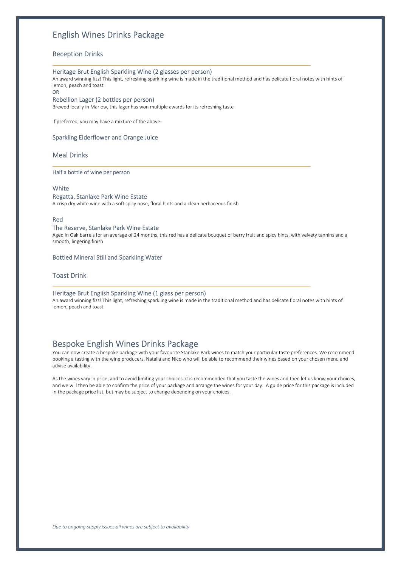# English Wines Drinks Package

## Reception Drinks

#### Heritage Brut English Sparkling Wine (2 glasses per person)

An award winning fizz! This light, refreshing sparkling wine is made in the traditional method and has delicate floral notes with hints of lemon, peach and toast

OR

#### Rebellion Lager (2 bottles per person)

Brewed locally in Marlow, this lager has won multiple awards for its refreshing taste

If preferred, you may have a mixture of the above.

## Sparkling Elderflower and Orange Juice

## Meal Drinks

#### Half a bottle of wine per person

#### **White**

#### Regatta, Stanlake Park Wine Estate

A crisp dry white wine with a soft spicy nose, floral hints and a clean herbaceous finish

#### Red

## The Reserve, Stanlake Park Wine Estate

Aged in Oak barrels for an average of 24 months, this red has a delicate bouquet of berry fruit and spicy hints, with velvety tannins and a smooth, lingering finish

## Bottled Mineral Still and Sparkling Water

## Toast Drink

#### Heritage Brut English Sparkling Wine (1 glass per person)

An award winning fizz! This light, refreshing sparkling wine is made in the traditional method and has delicate floral notes with hints of lemon, peach and toast

# Bespoke English Wines Drinks Package

You can now create a bespoke package with your favourite Stanlake Park wines to match your particular taste preferences. We recommend booking a tasting with the wine producers, Natalia and Nico who will be able to recommend their wines based on your chosen menu and advise availability.

As the wines vary in price, and to avoid limiting your choices, it is recommended that you taste the wines and then let us know your choices, and we will then be able to confirm the price of your package and arrange the wines for your day. A guide price for this package is included in the package price list, but may be subject to change depending on your choices.